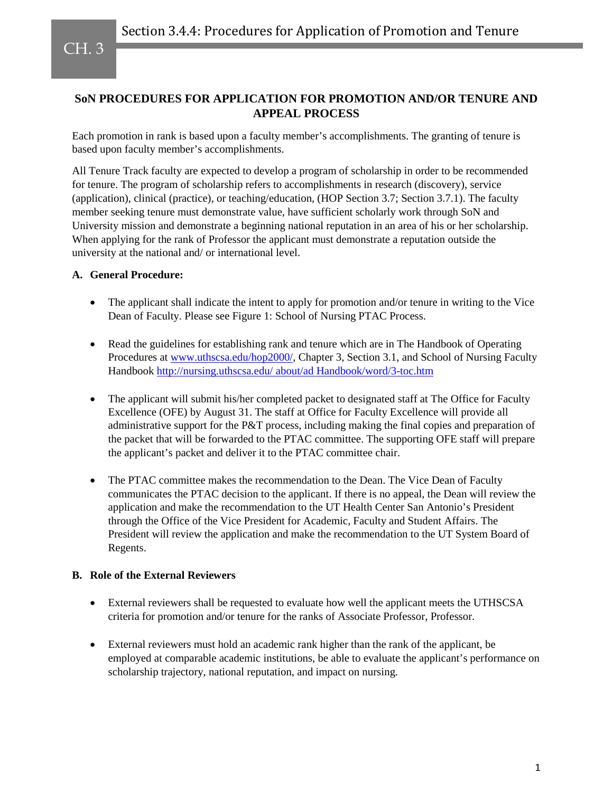## **SoN PROCEDURES FOR APPLICATION FOR PROMOTION AND/OR TENURE AND APPEAL PROCESS**

Each promotion in rank is based upon a faculty member's accomplishments. The granting of tenure is based upon faculty member's accomplishments.

All Tenure Track faculty are expected to develop a program of scholarship in order to be recommended for tenure. The program of scholarship refers to accomplishments in research (discovery), service (application), clinical (practice), or teaching/education, (HOP Section 3.7; Section 3.7.1). The faculty member seeking tenure must demonstrate value, have sufficient scholarly work through SoN and University mission and demonstrate a beginning national reputation in an area of his or her scholarship. When applying for the rank of Professor the applicant must demonstrate a reputation outside the university at the national and/ or international level.

## **A. General Procedure:**

- The applicant shall indicate the intent to apply for promotion and/or tenure in writing to the Vice Dean of Faculty. Please see Figure 1: School of Nursing PTAC Process.
- Read the guidelines for establishing rank and tenure which are in The Handbook of Operating Procedures at [www.uthscsa.edu/hop2000/,](http://www.uthscsa.edu/hop2000/) Chapter 3, Section 3.1, and School of Nursing Faculty Handbook [http://nursing.uthscsa.edu/ about/ad Handbook/word/3-toc.htm](http://sonshine.uthscsa.edu/Handbook/word/3-toc.htm)
- The applicant will submit his/her completed packet to designated staff at The Office for Faculty Excellence (OFE) by August 31. The staff at Office for Faculty Excellence will provide all administrative support for the P&T process, including making the final copies and preparation of the packet that will be forwarded to the PTAC committee. The supporting OFE staff will prepare the applicant's packet and deliver it to the PTAC committee chair.
- The PTAC committee makes the recommendation to the Dean. The Vice Dean of Faculty communicates the PTAC decision to the applicant. If there is no appeal, the Dean will review the application and make the recommendation to the UT Health Center San Antonio's President through the Office of the Vice President for Academic, Faculty and Student Affairs. The President will review the application and make the recommendation to the UT System Board of Regents.

## **B. Role of the External Reviewers**

- External reviewers shall be requested to evaluate how well the applicant meets the UTHSCSA criteria for promotion and/or tenure for the ranks of Associate Professor, Professor.
- External reviewers must hold an academic rank higher than the rank of the applicant, be employed at comparable academic institutions, be able to evaluate the applicant's performance on scholarship trajectory, national reputation, and impact on nursing.